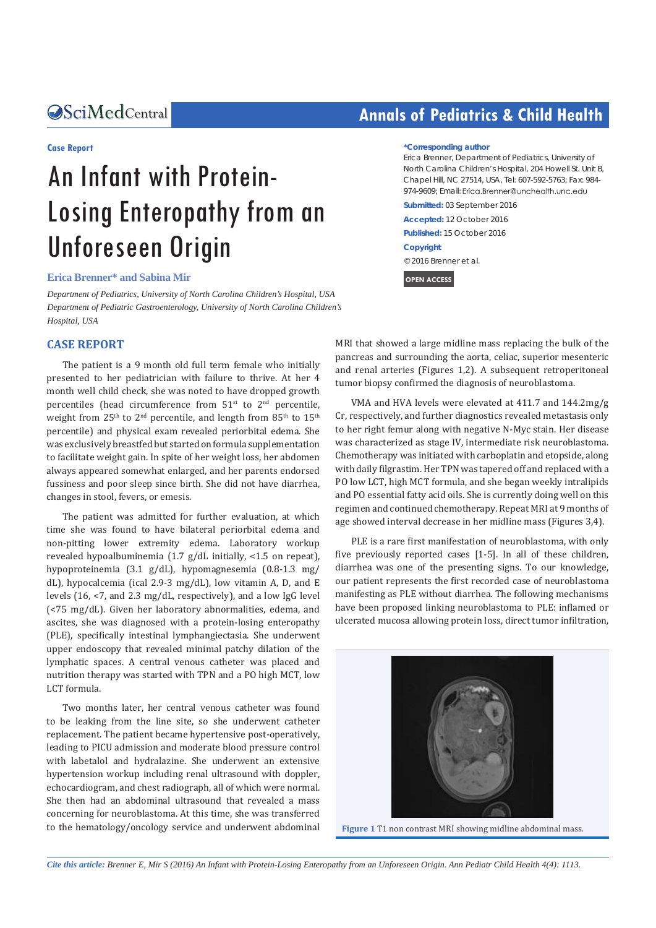### **Case Report**

# An Infant with Protein-Losing Enteropathy from an Unforeseen Origin

**Erica Brenner\* and Sabina Mir**

*Department of Pediatrics, University of North Carolina Children's Hospital, USA Department of Pediatric Gastroenterology, University of North Carolina Children's Hospital, USA*

### **CASE REPORT**

The patient is a 9 month old full term female who initially presented to her pediatrician with failure to thrive. At her 4 month well child check, she was noted to have dropped growth percentiles (head circumference from  $51<sup>st</sup>$  to  $2<sup>nd</sup>$  percentile, weight from 25<sup>th</sup> to 2<sup>nd</sup> percentile, and length from 85<sup>th</sup> to 15<sup>th</sup> percentile) and physical exam revealed periorbital edema. She was exclusively breastfed but started on formula supplementation to facilitate weight gain. In spite of her weight loss, her abdomen always appeared somewhat enlarged, and her parents endorsed fussiness and poor sleep since birth. She did not have diarrhea, changes in stool, fevers, or emesis.

The patient was admitted for further evaluation, at which time she was found to have bilateral periorbital edema and non-pitting lower extremity edema. Laboratory workup revealed hypoalbuminemia (1.7 g/dL initially, <1.5 on repeat), hypoproteinemia (3.1 g/dL), hypomagnesemia (0.8-1.3 mg/ dL), hypocalcemia (ical 2.9-3 mg/dL), low vitamin A, D, and E levels (16, <7, and 2.3 mg/dL, respectively), and a low IgG level (<75 mg/dL). Given her laboratory abnormalities, edema, and ascites, she was diagnosed with a protein-losing enteropathy (PLE), specifically intestinal lymphangiectasia. She underwent upper endoscopy that revealed minimal patchy dilation of the lymphatic spaces. A central venous catheter was placed and nutrition therapy was started with TPN and a PO high MCT, low LCT formula.

Two months later, her central venous catheter was found to be leaking from the line site, so she underwent catheter replacement. The patient became hypertensive post-operatively, leading to PICU admission and moderate blood pressure control with labetalol and hydralazine. She underwent an extensive hypertension workup including renal ultrasound with doppler, echocardiogram, and chest radiograph, all of which were normal. She then had an abdominal ultrasound that revealed a mass concerning for neuroblastoma. At this time, she was transferred to the hematology/oncology service and underwent abdominal

## **CALCED Annals of Pediatrics & Child Health**

### **\*Corresponding author**

Erica Brenner, Department of Pediatrics, University of North Carolina Children's Hospital, 204 Howell St. Unit B, Chapel Hill, NC 27514, USA, Tel: 607-592-5763; Fax: 984- 974-9609; Email: Erica.Brenner@unchealth.unc.edu

**Submitted:** 03 September 2016 **Accepted:** 12 October 2016 **Published:** 15 October 2016 **Copyright** © 2016 Brenner et al.

**OPEN ACCESS**

MRI that showed a large midline mass replacing the bulk of the pancreas and surrounding the aorta, celiac, superior mesenteric and renal arteries (Figures 1,2). A subsequent retroperitoneal tumor biopsy confirmed the diagnosis of neuroblastoma.

VMA and HVA levels were elevated at 411.7 and 144.2mg/g Cr, respectively, and further diagnostics revealed metastasis only to her right femur along with negative N-Myc stain. Her disease was characterized as stage IV, intermediate risk neuroblastoma. Chemotherapy was initiated with carboplatin and etopside, along with daily filgrastim. Her TPN was tapered off and replaced with a PO low LCT, high MCT formula, and she began weekly intralipids and PO essential fatty acid oils. She is currently doing well on this regimen and continued chemotherapy. Repeat MRI at 9 months of age showed interval decrease in her midline mass (Figures 3,4).

PLE is a rare first manifestation of neuroblastoma, with only five previously reported cases [1-5]. In all of these children, diarrhea was one of the presenting signs. To our knowledge, our patient represents the first recorded case of neuroblastoma manifesting as PLE without diarrhea. The following mechanisms have been proposed linking neuroblastoma to PLE: inflamed or ulcerated mucosa allowing protein loss, direct tumor infiltration,



**Figure 1** T1 non contrast MRI showing midline abdominal mass.

*Cite this article: Brenner E, Mir S (2016) An Infant with Protein-Losing Enteropathy from an Unforeseen Origin. Ann Pediatr Child Health 4(4): 1113.*